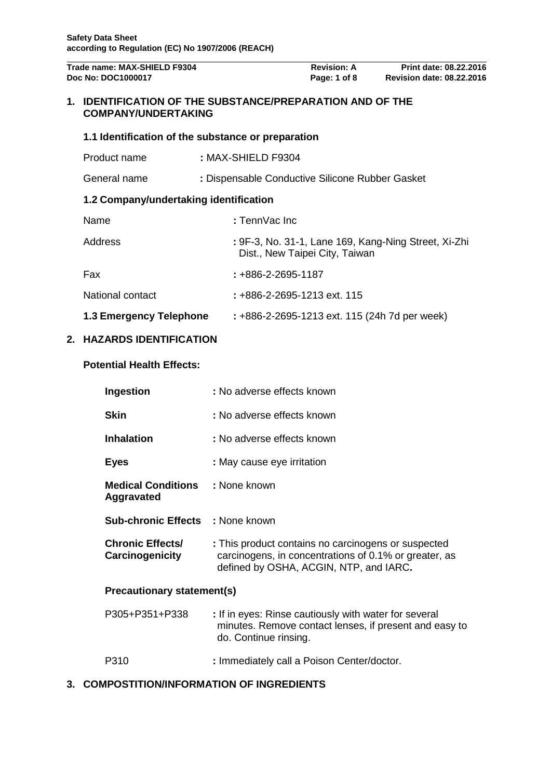| Trade name: MAX-SHIELD F9304<br>Doc No: DOC1000017 |                                                                                             |                                                 | <b>Revision: A</b><br>Page: 1 of 8 | Print date: 08.22.2016<br><b>Revision date: 08.22.2016</b> |
|----------------------------------------------------|---------------------------------------------------------------------------------------------|-------------------------------------------------|------------------------------------|------------------------------------------------------------|
| $\mathbf 1$ .                                      | <b>IDENTIFICATION OF THE SUBSTANCE/PREPARATION AND OF THE</b><br><b>COMPANY/UNDERTAKING</b> |                                                 |                                    |                                                            |
|                                                    | 1.1 Identification of the substance or preparation                                          |                                                 |                                    |                                                            |
|                                                    | Product name                                                                                | : MAX-SHIELD F9304                              |                                    |                                                            |
|                                                    | General name                                                                                | : Dispensable Conductive Silicone Rubber Gasket |                                    |                                                            |
|                                                    | 1.2 Company/undertaking identification                                                      |                                                 |                                    |                                                            |
|                                                    | Name                                                                                        | : TennVac Inc                                   |                                    |                                                            |
|                                                    | Address                                                                                     | Dist., New Taipei City, Taiwan                  |                                    | : 9F-3, No. 31-1, Lane 169, Kang-Ning Street, Xi-Zhi       |
|                                                    | Fax                                                                                         | $: +886 - 2 - 2695 - 1187$                      |                                    |                                                            |
|                                                    | National contact                                                                            | : +886-2-2695-1213 ext. 115                     |                                    |                                                            |
|                                                    | 1.3 Emergency Telephone                                                                     | : +886-2-2695-1213 ext. 115 (24h 7d per week)   |                                    |                                                            |

# **2. HAZARDS IDENTIFICATION**

# **Potential Health Effects:**

| Ingestion                                            | : No adverse effects known                                                                                                                             |  |  |
|------------------------------------------------------|--------------------------------------------------------------------------------------------------------------------------------------------------------|--|--|
| <b>Skin</b>                                          | : No adverse effects known                                                                                                                             |  |  |
| <b>Inhalation</b>                                    | : No adverse effects known                                                                                                                             |  |  |
| <b>Eyes</b>                                          | : May cause eye irritation                                                                                                                             |  |  |
| <b>Medical Conditions : None known</b><br>Aggravated |                                                                                                                                                        |  |  |
| <b>Sub-chronic Effects : None known</b>              |                                                                                                                                                        |  |  |
| <b>Chronic Effects/</b><br>Carcinogenicity           | : This product contains no carcinogens or suspected<br>carcinogens, in concentrations of 0.1% or greater, as<br>defined by OSHA, ACGIN, NTP, and IARC. |  |  |
| <b>Precautionary statement(s)</b>                    |                                                                                                                                                        |  |  |
| P305+P351+P338                                       | : If in eyes: Rinse cautiously with water for several<br>minutes. Remove contact lenses, if present and easy to<br>do. Continue rinsing.               |  |  |

P310 **:** Immediately call a Poison Center/doctor.

# **3. COMPOSTITION/INFORMATION OF INGREDIENTS**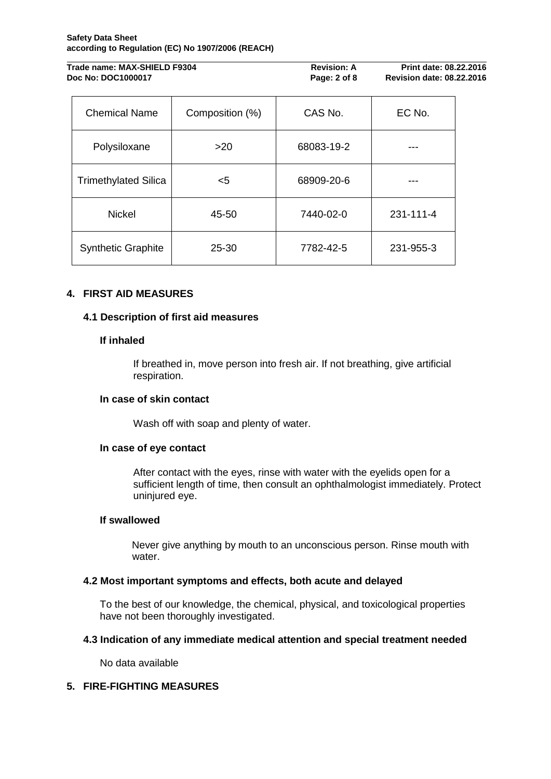#### **Safety Data Sheet according to Regulation (EC) No 1907/2006 (REACH)**

| Trade name: MAX-SHIELD F9304 | <b>Revision: A</b> | <b>Print date: 08.22.2016</b>    |
|------------------------------|--------------------|----------------------------------|
| Doc No: DOC1000017           | Page: 2 of 8       | <b>Revision date: 08.22.2016</b> |

| <b>Chemical Name</b>        | Composition (%) | CAS No.    | EC No.    |
|-----------------------------|-----------------|------------|-----------|
| Polysiloxane                | >20             | 68083-19-2 |           |
| <b>Trimethylated Silica</b> | $5$             | 68909-20-6 |           |
| <b>Nickel</b>               | 45-50           | 7440-02-0  | 231-111-4 |
| <b>Synthetic Graphite</b>   | $25 - 30$       | 7782-42-5  | 231-955-3 |

# **4. FIRST AID MEASURES**

# **4.1 Description of first aid measures**

# **If inhaled**

If breathed in, move person into fresh air. If not breathing, give artificial respiration.

# **In case of skin contact**

Wash off with soap and plenty of water.

### **In case of eye contact**

After contact with the eyes, rinse with water with the eyelids open for a sufficient length of time, then consult an ophthalmologist immediately. Protect uninjured eye.

### **If swallowed**

Never give anything by mouth to an unconscious person. Rinse mouth with water.

### **4.2 Most important symptoms and effects, both acute and delayed**

To the best of our knowledge, the chemical, physical, and toxicological properties have not been thoroughly investigated.

# **4.3 Indication of any immediate medical attention and special treatment needed**

No data available

# **5. FIRE-FIGHTING MEASURES**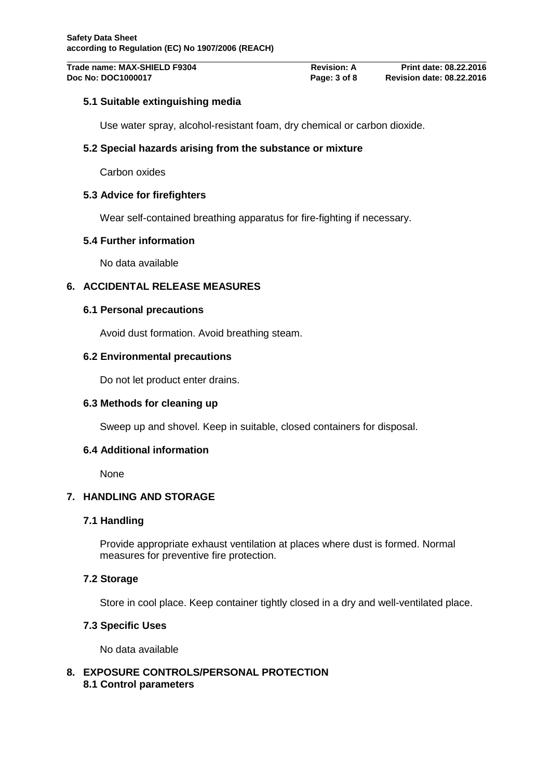# **5.1 Suitable extinguishing media**

Use water spray, alcohol-resistant foam, dry chemical or carbon dioxide.

# **5.2 Special hazards arising from the substance or mixture**

Carbon oxides

### **5.3 Advice for firefighters**

Wear self-contained breathing apparatus for fire-fighting if necessary.

### **5.4 Further information**

No data available

# **6. ACCIDENTAL RELEASE MEASURES**

### **6.1 Personal precautions**

Avoid dust formation. Avoid breathing steam.

### **6.2 Environmental precautions**

Do not let product enter drains.

# **6.3 Methods for cleaning up**

Sweep up and shovel. Keep in suitable, closed containers for disposal.

# **6.4 Additional information**

None

# **7. HANDLING AND STORAGE**

# **7.1 Handling**

Provide appropriate exhaust ventilation at places where dust is formed. Normal measures for preventive fire protection.

# **7.2 Storage**

Store in cool place. Keep container tightly closed in a dry and well-ventilated place.

### **7.3 Specific Uses**

No data available

### **8. EXPOSURE CONTROLS/PERSONAL PROTECTION 8.1 Control parameters**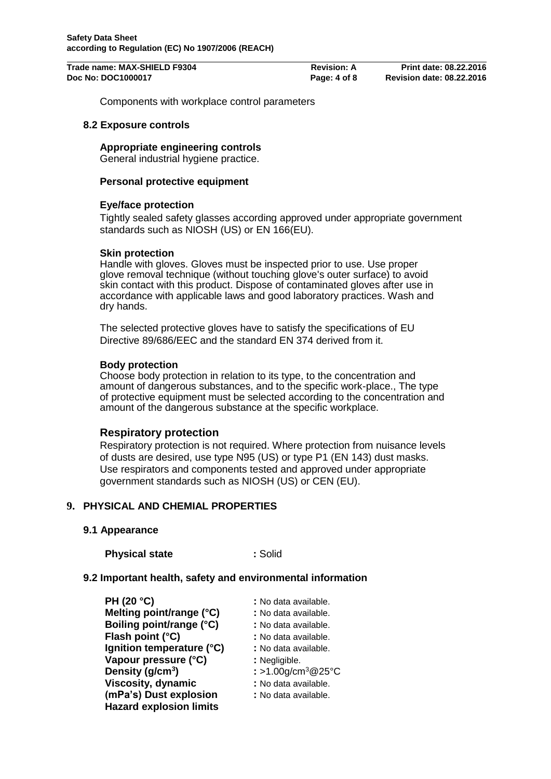**Trade name: MAX-SHIELD F9304 Revision: A Print date: 08.22.2016 Doc No: DOC1000017 Page: 4 of 8 Revision date: 08.22.2016**

Components with workplace control parameters

### **8.2 Exposure controls**

# **Appropriate engineering controls**

General industrial hygiene practice.

## **Personal protective equipment**

### **Eye/face protection**

Tightly sealed safety glasses according approved under appropriate government standards such as NIOSH (US) or EN 166(EU).

### **Skin protection**

Handle with gloves. Gloves must be inspected prior to use. Use proper glove removal technique (without touching glove's outer surface) to avoid skin contact with this product. Dispose of contaminated gloves after use in accordance with applicable laws and good laboratory practices. Wash and dry hands.

The selected protective gloves have to satisfy the specifications of EU Directive 89/686/EEC and the standard EN 374 derived from it.

### **Body protection**

Choose body protection in relation to its type, to the concentration and amount of dangerous substances, and to the specific work-place., The type of protective equipment must be selected according to the concentration and amount of the dangerous substance at the specific workplace.

### **Respiratory protection**

Respiratory protection is not required. Where protection from nuisance levels of dusts are desired, use type N95 (US) or type P1 (EN 143) dust masks. Use respirators and components tested and approved under appropriate government standards such as NIOSH (US) or CEN (EU).

### **9. PHYSICAL AND CHEMIAL PROPERTIES**

### **9.1 Appearance**

**Physical state :** Solid

### **9.2 Important health, safety and environmental information**

| <b>PH (20 °C)</b>              | : No data available.           |
|--------------------------------|--------------------------------|
| Melting point/range (°C)       | : No data available.           |
| Boiling point/range (°C)       | : No data available.           |
| Flash point (°C)               | : No data available.           |
| Ignition temperature (°C)      | : No data available.           |
| Vapour pressure (°C)           | : Negligible.                  |
| Density ( $g/cm3$ )            | : >1.00g/cm <sup>3</sup> @25°C |
| <b>Viscosity, dynamic</b>      | : No data available.           |
| (mPa's) Dust explosion         | : No data available.           |
| <b>Hazard explosion limits</b> |                                |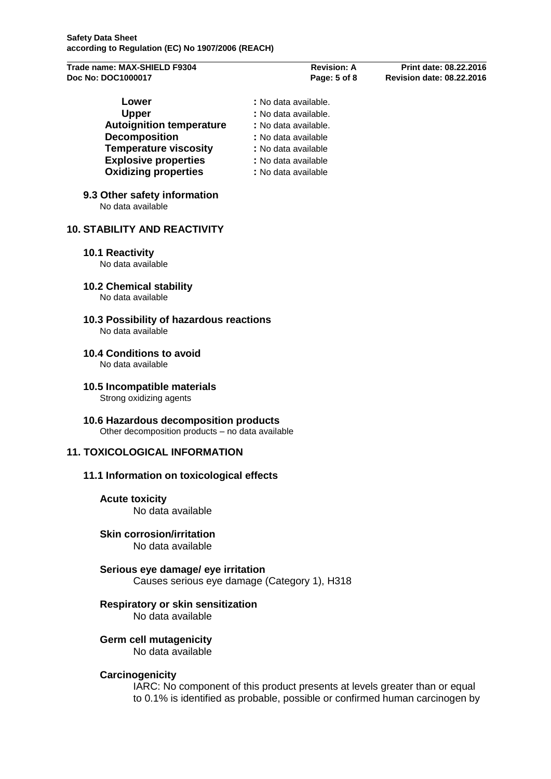| Trade name: MAX-SHIELD F9304 |  |
|------------------------------|--|
| Doc No: DOC1000017           |  |

| : No data available. |
|----------------------|
| : No data available. |
| : No data available. |
| : No data available  |
| : No data available  |
| : No data available  |
| : No data available  |
|                      |

# **9.3 Other safety information**

No data available

# **10. STABILITY AND REACTIVITY**

### **10.1 Reactivity**

No data available

- **10.2 Chemical stability** No data available
- **10.3 Possibility of hazardous reactions** No data available
- **10.4 Conditions to avoid** No data available
- **10.5 Incompatible materials**

Strong oxidizing agents

**10.6 Hazardous decomposition products**

Other decomposition products – no data available

# **11. TOXICOLOGICAL INFORMATION**

### **11.1 Information on toxicological effects**

- **Acute toxicity** No data available
- **Skin corrosion/irritation** No data available
- **Serious eye damage/ eye irritation** Causes serious eye damage (Category 1), H318

### **Respiratory or skin sensitization**

No data available

# **Germ cell mutagenicity**

No data available

### **Carcinogenicity**

IARC: No component of this product presents at levels greater than or equal to 0.1% is identified as probable, possible or confirmed human carcinogen by

**Trade name: MAX-SHIELD F9304 Revision: A Print date: 08.22.2016 Doc No: DOC1000017 Page: 5 of 8 Revision date: 08.22.2016**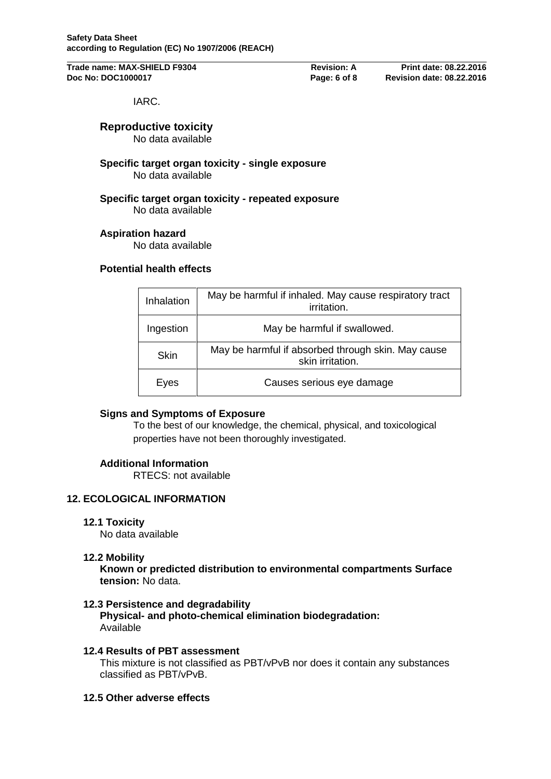**Trade name: MAX-SHIELD F9304 Revision: A Print date: 08.22.2016 Doc No: DOC1000017 Page: 6 of 8 Revision date: 08.22.2016**

IARC.

# **Reproductive toxicity**

No data available

**Specific target organ toxicity - single exposure** No data available

**Specific target organ toxicity - repeated exposure** No data available

# **Aspiration hazard**

No data available

# **Potential health effects**

| Inhalation  | May be harmful if inhaled. May cause respiratory tract<br><i>irritation.</i> |
|-------------|------------------------------------------------------------------------------|
| Ingestion   | May be harmful if swallowed.                                                 |
| <b>Skin</b> | May be harmful if absorbed through skin. May cause<br>skin irritation.       |
| Eyes        | Causes serious eye damage                                                    |

# **Signs and Symptoms of Exposure**

To the best of our knowledge, the chemical, physical, and toxicological properties have not been thoroughly investigated.

# **Additional Information**

RTECS: not available

# **12. ECOLOGICAL INFORMATION**

### **12.1 Toxicity**

No data available

### **12.2 Mobility**

**Known or predicted distribution to environmental compartments Surface tension:** No data.

# **12.3 Persistence and degradability**

**Physical- and photo-chemical elimination biodegradation:** Available

### **12.4 Results of PBT assessment**

This mixture is not classified as PBT/vPvB nor does it contain any substances classified as PBT/vPvB.

### **12.5 Other adverse effects**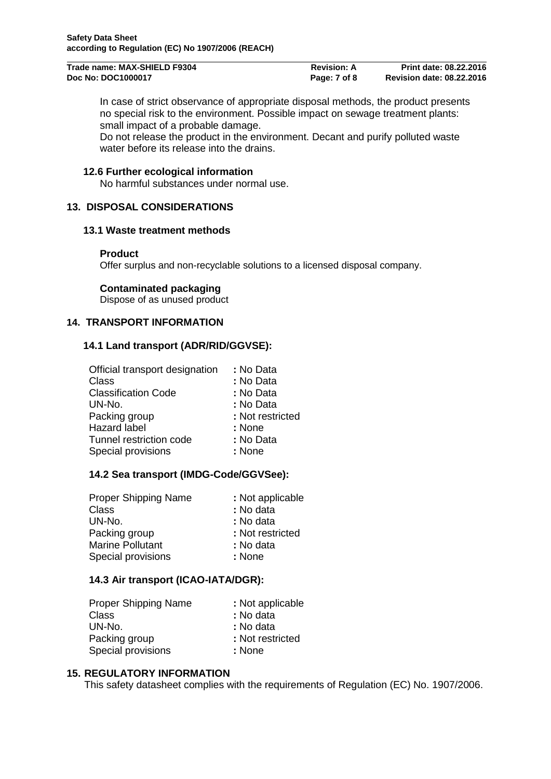| Trade name: MAX-SHIELD F9304 | <b>Revision: A</b> | <b>Print date: 08.22.2016</b>    |
|------------------------------|--------------------|----------------------------------|
| Doc No: DOC1000017           | Page: 7 of 8       | <b>Revision date: 08.22.2016</b> |

In case of strict observance of appropriate disposal methods, the product presents no special risk to the environment. Possible impact on sewage treatment plants: small impact of a probable damage.

Do not release the product in the environment. Decant and purify polluted waste water before its release into the drains.

### **12.6 Further ecological information**

No harmful substances under normal use.

# **13. DISPOSAL CONSIDERATIONS**

### **13.1 Waste treatment methods**

### **Product**

Offer surplus and non-recyclable solutions to a licensed disposal company.

### **Contaminated packaging**

Dispose of as unused product

# **14. TRANSPORT INFORMATION**

### **14.1 Land transport (ADR/RID/GGVSE):**

| Official transport designation | : No Data        |
|--------------------------------|------------------|
| Class                          | : No Data        |
| <b>Classification Code</b>     | : No Data        |
| UN-No.                         | : No Data        |
| Packing group                  | : Not restricted |
| <b>Hazard label</b>            | : None           |
| Tunnel restriction code        | : No Data        |
| Special provisions             | : None           |
|                                |                  |

### **14.2 Sea transport (IMDG-Code/GGVSee):**

| : Not applicable |
|------------------|
| : No data        |
| : No data        |
| : Not restricted |
| : No data        |
| : None           |
|                  |

### **14.3 Air transport (ICAO-IATA/DGR):**

| <b>Proper Shipping Name</b> | : Not applicable |
|-----------------------------|------------------|
| Class                       | : No data        |
| UN-No.                      | : No data        |
| Packing group               | : Not restricted |
| Special provisions          | : None           |

## **15. REGULATORY INFORMATION**

This safety datasheet complies with the requirements of Regulation (EC) No. 1907/2006.